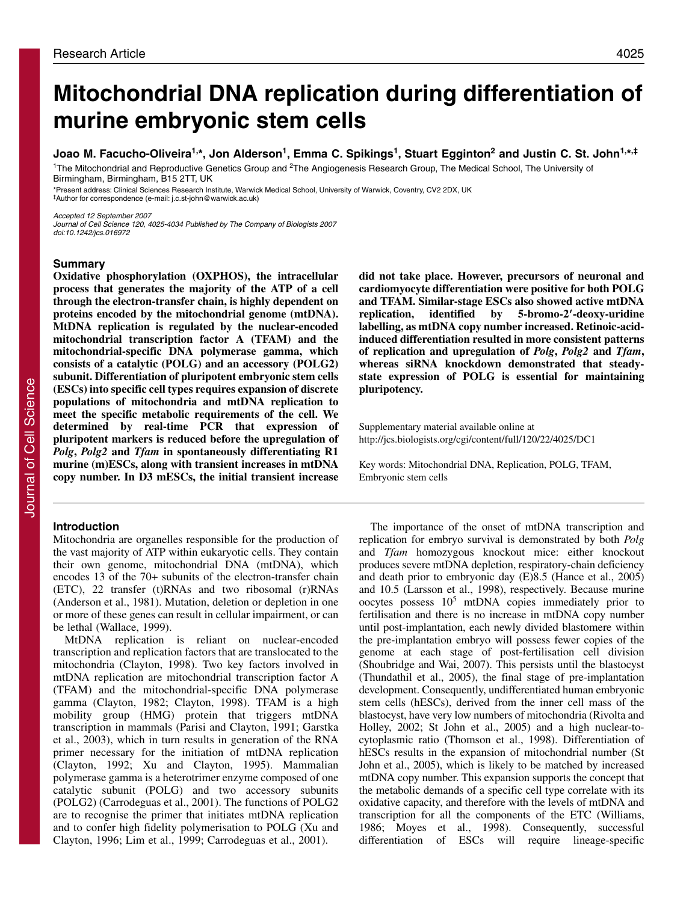# **Mitochondrial DNA replication during differentiation of murine embryonic stem cells**

# **Joao M. Facucho-Oliveira1,\*, Jon Alderson1, Emma C. Spikings1, Stuart Egginton2 and Justin C. St. John1,\*,‡**

<sup>1</sup>The Mitochondrial and Reproductive Genetics Group and <sup>2</sup>The Angiogenesis Research Group, The Medical School, The University of Birmingham, Birmingham, B15 2TT, UK

\*Present address: Clinical Sciences Research Institute, Warwick Medical School, University of Warwick, Coventry, CV2 2DX, UK ‡Author for correspondence (e-mail: j.c.st-john@warwick.ac.uk)

Accepted 12 September 2007

Journal of Cell Science 120, 4025-4034 Published by The Company of Biologists 2007 doi:10.1242/jcs.016972

# **Summary**

**Oxidative phosphorylation (OXPHOS), the intracellular process that generates the majority of the ATP of a cell through the electron-transfer chain, is highly dependent on proteins encoded by the mitochondrial genome (mtDNA). MtDNA replication is regulated by the nuclear-encoded mitochondrial transcription factor A (TFAM) and the mitochondrial-specific DNA polymerase gamma, which consists of a catalytic (POLG) and an accessory (POLG2) subunit. Differentiation of pluripotent embryonic stem cells (ESCs) into specific cell types requires expansion of discrete populations of mitochondria and mtDNA replication to meet the specific metabolic requirements of the cell. We determined by real-time PCR that expression of pluripotent markers is reduced before the upregulation of** *Polg***,** *Polg2* **and** *Tfam* **in spontaneously differentiating R1 murine (m)ESCs, along with transient increases in mtDNA copy number. In D3 mESCs, the initial transient increase**

# **Introduction**

Mitochondria are organelles responsible for the production of the vast majority of ATP within eukaryotic cells. They contain their own genome, mitochondrial DNA (mtDNA), which encodes 13 of the 70+ subunits of the electron-transfer chain (ETC), 22 transfer (t)RNAs and two ribosomal (r)RNAs (Anderson et al., 1981). Mutation, deletion or depletion in one or more of these genes can result in cellular impairment, or can be lethal (Wallace, 1999).

MtDNA replication is reliant on nuclear-encoded transcription and replication factors that are translocated to the mitochondria (Clayton, 1998). Two key factors involved in mtDNA replication are mitochondrial transcription factor A (TFAM) and the mitochondrial-specific DNA polymerase gamma (Clayton, 1982; Clayton, 1998). TFAM is a high mobility group (HMG) protein that triggers mtDNA transcription in mammals (Parisi and Clayton, 1991; Garstka et al., 2003), which in turn results in generation of the RNA primer necessary for the initiation of mtDNA replication (Clayton, 1992; Xu and Clayton, 1995). Mammalian polymerase gamma is a heterotrimer enzyme composed of one catalytic subunit (POLG) and two accessory subunits (POLG2) (Carrodeguas et al., 2001). The functions of POLG2 are to recognise the primer that initiates mtDNA replication and to confer high fidelity polymerisation to POLG (Xu and Clayton, 1996; Lim et al., 1999; Carrodeguas et al., 2001).

**did not take place. However, precursors of neuronal and cardiomyocyte differentiation were positive for both POLG and TFAM. Similar-stage ESCs also showed active mtDNA** replication, identified by 5-bromo-2'-deoxy-uridine **labelling, as mtDNA copy number increased. Retinoic-acidinduced differentiation resulted in more consistent patterns of replication and upregulation of** *Polg***,** *Polg2* **and** *Tfam***, whereas siRNA knockdown demonstrated that steadystate expression of POLG is essential for maintaining pluripotency.**

Supplementary material available online at http://jcs.biologists.org/cgi/content/full/120/22/4025/DC1

Key words: Mitochondrial DNA, Replication, POLG, TFAM, Embryonic stem cells

The importance of the onset of mtDNA transcription and replication for embryo survival is demonstrated by both *Polg* and *Tfam* homozygous knockout mice: either knockout produces severe mtDNA depletion, respiratory-chain deficiency and death prior to embryonic day (E)8.5 (Hance et al., 2005) and 10.5 (Larsson et al., 1998), respectively. Because murine oocytes possess  $10^5$  mtDNA copies immediately prior to fertilisation and there is no increase in mtDNA copy number until post-implantation, each newly divided blastomere within the pre-implantation embryo will possess fewer copies of the genome at each stage of post-fertilisation cell division (Shoubridge and Wai, 2007). This persists until the blastocyst (Thundathil et al., 2005), the final stage of pre-implantation development. Consequently, undifferentiated human embryonic stem cells (hESCs), derived from the inner cell mass of the blastocyst, have very low numbers of mitochondria (Rivolta and Holley, 2002; St John et al., 2005) and a high nuclear-tocytoplasmic ratio (Thomson et al., 1998). Differentiation of hESCs results in the expansion of mitochondrial number (St John et al., 2005), which is likely to be matched by increased mtDNA copy number. This expansion supports the concept that the metabolic demands of a specific cell type correlate with its oxidative capacity, and therefore with the levels of mtDNA and transcription for all the components of the ETC (Williams, 1986; Moyes et al., 1998). Consequently, successful differentiation of ESCs will require lineage-specific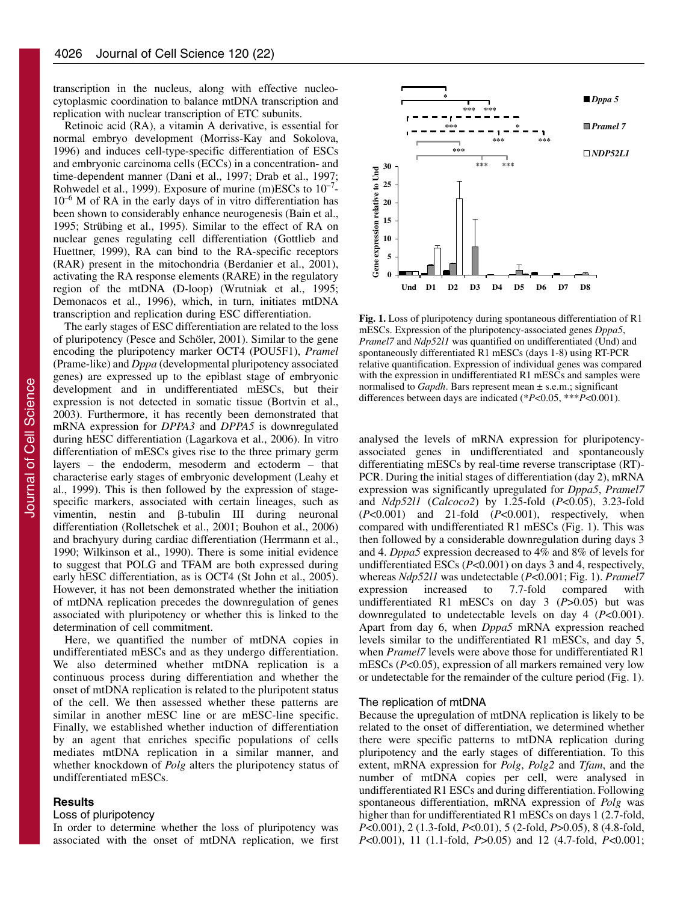transcription in the nucleus, along with effective nucleocytoplasmic coordination to balance mtDNA transcription and replication with nuclear transcription of ETC subunits.

Retinoic acid (RA), a vitamin A derivative, is essential for normal embryo development (Morriss-Kay and Sokolova, 1996) and induces cell-type-specific differentiation of ESCs and embryonic carcinoma cells (ECCs) in a concentration- and time-dependent manner (Dani et al., 1997; Drab et al., 1997; Rohwedel et al., 1999). Exposure of murine (m)ESCs to 10–7-  $10^{-6}$  M of RA in the early days of in vitro differentiation has been shown to considerably enhance neurogenesis (Bain et al., 1995; Strübing et al., 1995). Similar to the effect of RA on nuclear genes regulating cell differentiation (Gottlieb and Huettner, 1999), RA can bind to the RA-specific receptors (RAR) present in the mitochondria (Berdanier et al., 2001), activating the RA response elements (RARE) in the regulatory region of the mtDNA (D-loop) (Wrutniak et al., 1995; Demonacos et al., 1996), which, in turn, initiates mtDNA transcription and replication during ESC differentiation.

The early stages of ESC differentiation are related to the loss of pluripotency (Pesce and Schöler, 2001). Similar to the gene encoding the pluripotency marker OCT4 (POU5F1), *Pramel* (Prame-like) and *Dppa* (developmental pluripotency associated genes) are expressed up to the epiblast stage of embryonic development and in undifferentiated mESCs, but their expression is not detected in somatic tissue (Bortvin et al., 2003). Furthermore, it has recently been demonstrated that mRNA expression for *DPPA3* and *DPPA5* is downregulated during hESC differentiation (Lagarkova et al., 2006). In vitro differentiation of mESCs gives rise to the three primary germ layers – the endoderm, mesoderm and ectoderm – that characterise early stages of embryonic development (Leahy et al., 1999). This is then followed by the expression of stagespecific markers, associated with certain lineages, such as vimentin, nestin and  $\beta$ -tubulin III during neuronal differentiation (Rolletschek et al., 2001; Bouhon et al., 2006) and brachyury during cardiac differentiation (Herrmann et al., 1990; Wilkinson et al., 1990). There is some initial evidence to suggest that POLG and TFAM are both expressed during early hESC differentiation, as is OCT4 (St John et al., 2005). However, it has not been demonstrated whether the initiation of mtDNA replication precedes the downregulation of genes associated with pluripotency or whether this is linked to the determination of cell commitment.

Here, we quantified the number of mtDNA copies in undifferentiated mESCs and as they undergo differentiation. We also determined whether mtDNA replication is a continuous process during differentiation and whether the onset of mtDNA replication is related to the pluripotent status of the cell. We then assessed whether these patterns are similar in another mESC line or are mESC-line specific. Finally, we established whether induction of differentiation by an agent that enriches specific populations of cells mediates mtDNA replication in a similar manner, and whether knockdown of *Polg* alters the pluripotency status of undifferentiated mESCs.

## **Results**

# Loss of pluripotency

In order to determine whether the loss of pluripotency was associated with the onset of mtDNA replication, we first



**Fig. 1.** Loss of pluripotency during spontaneous differentiation of R1 mESCs. Expression of the pluripotency-associated genes *Dppa5*, *Pramel7* and *Ndp52l1* was quantified on undifferentiated (Und) and spontaneously differentiated R1 mESCs (days 1-8) using RT-PCR relative quantification. Expression of individual genes was compared with the expression in undifferentiated R1 mESCs and samples were normalised to *Gapdh*. Bars represent mean ± s.e.m.; significant differences between days are indicated (\**P*<0.05, \*\*\**P*<0.001).

analysed the levels of mRNA expression for pluripotencyassociated genes in undifferentiated and spontaneously differentiating mESCs by real-time reverse transcriptase (RT)- PCR. During the initial stages of differentiation (day 2), mRNA expression was significantly upregulated for *Dppa5*, *Pramel7* and *Ndp52l1* (*Calcoco2*) by 1.25-fold (*P*<0.05), 3.23-fold (*P*<0.001) and 21-fold (*P*<0.001), respectively, when compared with undifferentiated R1 mESCs (Fig. 1). This was then followed by a considerable downregulation during days 3 and 4. *Dppa5* expression decreased to 4% and 8% of levels for undifferentiated ESCs (*P*<0.001) on days 3 and 4, respectively, whereas *Ndp52l1* was undetectable (*P*<0.001; Fig. 1). *Pramel7* expression increased to 7.7-fold compared with expression increased to 7.7-fold compared with undifferentiated R1 mESCs on day 3 (*P*>0.05) but was downregulated to undetectable levels on day 4 (*P*<0.001). Apart from day 6, when *Dppa5* mRNA expression reached levels similar to the undifferentiated R1 mESCs, and day 5, when *Pramel7* levels were above those for undifferentiated R1 mESCs (*P*<0.05), expression of all markers remained very low or undetectable for the remainder of the culture period (Fig. 1).

#### The replication of mtDNA

Because the upregulation of mtDNA replication is likely to be related to the onset of differentiation, we determined whether there were specific patterns to mtDNA replication during pluripotency and the early stages of differentiation. To this extent, mRNA expression for *Polg*, *Polg2* and *Tfam*, and the number of mtDNA copies per cell, were analysed in undifferentiated R1 ESCs and during differentiation. Following spontaneous differentiation, mRNA expression of *Polg* was higher than for undifferentiated R1 mESCs on days 1 (2.7-fold, *P*<0.001), 2 (1.3-fold, *P*<0.01), 5 (2-fold, *P*>0.05), 8 (4.8-fold, *P*<0.001), 11 (1.1-fold, *P*>0.05) and 12 (4.7-fold, *P*<0.001;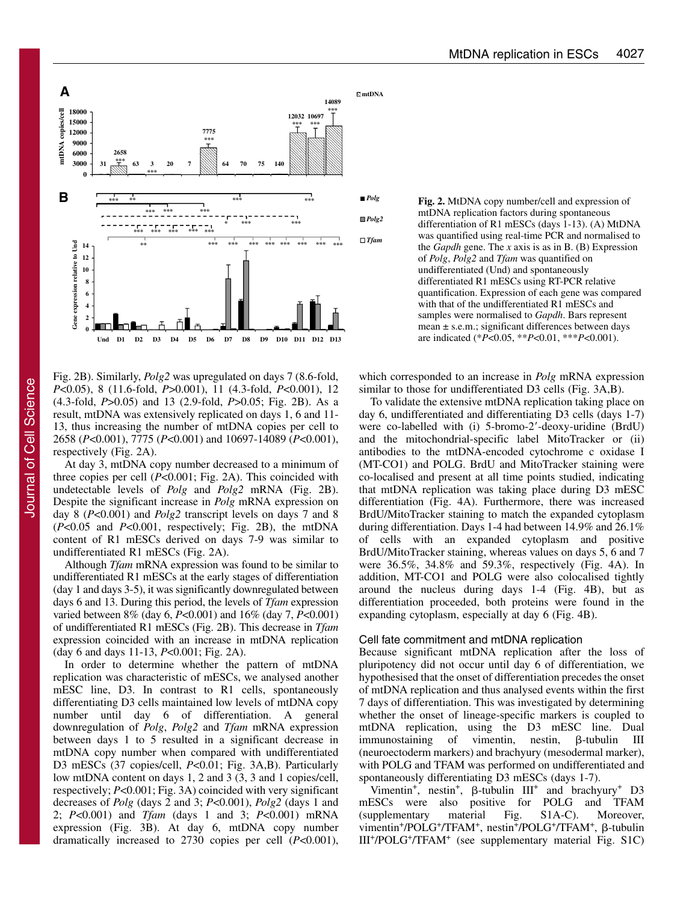

Fig. 2B). Similarly, *Polg2* was upregulated on days 7 (8.6-fold, *P*<0.05), 8 (11.6-fold, *P*>0.001), 11 (4.3-fold, *P*<0.001), 12 (4.3-fold, *P*>0.05) and 13 (2.9-fold, *P*>0.05; Fig. 2B). As a result, mtDNA was extensively replicated on days 1, 6 and 11- 13, thus increasing the number of mtDNA copies per cell to 2658 (*P*<0.001), 7775 (*P*<0.001) and 10697-14089 (*P*<0.001), respectively (Fig. 2A).

At day 3, mtDNA copy number decreased to a minimum of three copies per cell (*P*<0.001; Fig. 2A). This coincided with undetectable levels of *Polg* and *Polg2* mRNA (Fig. 2B). Despite the significant increase in *Polg* mRNA expression on day 8 (*P*<0.001) and *Polg2* transcript levels on days 7 and 8 (*P*<0.05 and *P*<0.001, respectively; Fig. 2B), the mtDNA content of R1 mESCs derived on days 7-9 was similar to undifferentiated R1 mESCs (Fig. 2A).

Although *Tfam* mRNA expression was found to be similar to undifferentiated R1 mESCs at the early stages of differentiation (day 1 and days 3-5), it was significantly downregulated between days 6 and 13. During this period, the levels of *Tfam* expression varied between 8% (day 6, *P*<0.001) and 16% (day 7, *P*<0.001) of undifferentiated R1 mESCs (Fig. 2B). This decrease in *Tfam* expression coincided with an increase in mtDNA replication (day 6 and days 11-13, *P*<0.001; Fig. 2A).

In order to determine whether the pattern of mtDNA replication was characteristic of mESCs, we analysed another mESC line, D3. In contrast to R1 cells, spontaneously differentiating D3 cells maintained low levels of mtDNA copy number until day 6 of differentiation. A general downregulation of *Polg*, *Polg2* and *Tfam* mRNA expression between days 1 to 5 resulted in a significant decrease in mtDNA copy number when compared with undifferentiated D3 mESCs (37 copies/cell, *P*<0.01; Fig. 3A,B). Particularly low mtDNA content on days 1, 2 and 3 (3, 3 and 1 copies/cell, respectively; *P*<0.001; Fig. 3A) coincided with very significant decreases of *Polg* (days 2 and 3; *P*<0.001), *Polg2* (days 1 and 2; *P*<0.001) and *Tfam* (days 1 and 3; *P*<0.001) mRNA expression (Fig. 3B). At day 6, mtDNA copy number dramatically increased to 2730 copies per cell (*P*<0.001),



which corresponded to an increase in *Polg* mRNA expression similar to those for undifferentiated D3 cells (Fig. 3A,B).

To validate the extensive mtDNA replication taking place on day 6, undifferentiated and differentiating D3 cells (days 1-7) were co-labelled with (i) 5-bromo-2'-deoxy-uridine (BrdU) and the mitochondrial-specific label MitoTracker or (ii) antibodies to the mtDNA-encoded cytochrome c oxidase I (MT-CO1) and POLG. BrdU and MitoTracker staining were co-localised and present at all time points studied, indicating that mtDNA replication was taking place during D3 mESC differentiation (Fig. 4A). Furthermore, there was increased BrdU/MitoTracker staining to match the expanded cytoplasm during differentiation. Days 1-4 had between 14.9% and 26.1% of cells with an expanded cytoplasm and positive BrdU/MitoTracker staining, whereas values on days 5, 6 and 7 were 36.5%, 34.8% and 59.3%, respectively (Fig. 4A). In addition, MT-CO1 and POLG were also colocalised tightly around the nucleus during days 1-4 (Fig. 4B), but as differentiation proceeded, both proteins were found in the expanding cytoplasm, especially at day 6 (Fig. 4B).

#### Cell fate commitment and mtDNA replication

Because significant mtDNA replication after the loss of pluripotency did not occur until day 6 of differentiation, we hypothesised that the onset of differentiation precedes the onset of mtDNA replication and thus analysed events within the first 7 days of differentiation. This was investigated by determining whether the onset of lineage-specific markers is coupled to mtDNA replication, using the D3 mESC line. Dual<br>immunostaining of vimentin, nestin,  $\beta$ -tubulin III immunostaining of vimentin, nestin,  $\beta$ -tubulin III (neuroectoderm markers) and brachyury (mesodermal marker), with POLG and TFAM was performed on undifferentiated and spontaneously differentiating D3 mESCs (days 1-7).

Vimentin<sup>+</sup>, nestin<sup>+</sup>,  $\beta$ -tubulin III<sup>+</sup> and brachyury<sup>+</sup> D3 mESCs were also positive for POLG and TFAM (supplementary material Fig. S1A-C). Moreover, vimentin+/POLG+/TFAM+, nestin+/POLG+/TFAM+,  $\beta$ -tubulin III+/POLG+/TFAM+ (see supplementary material Fig. S1C)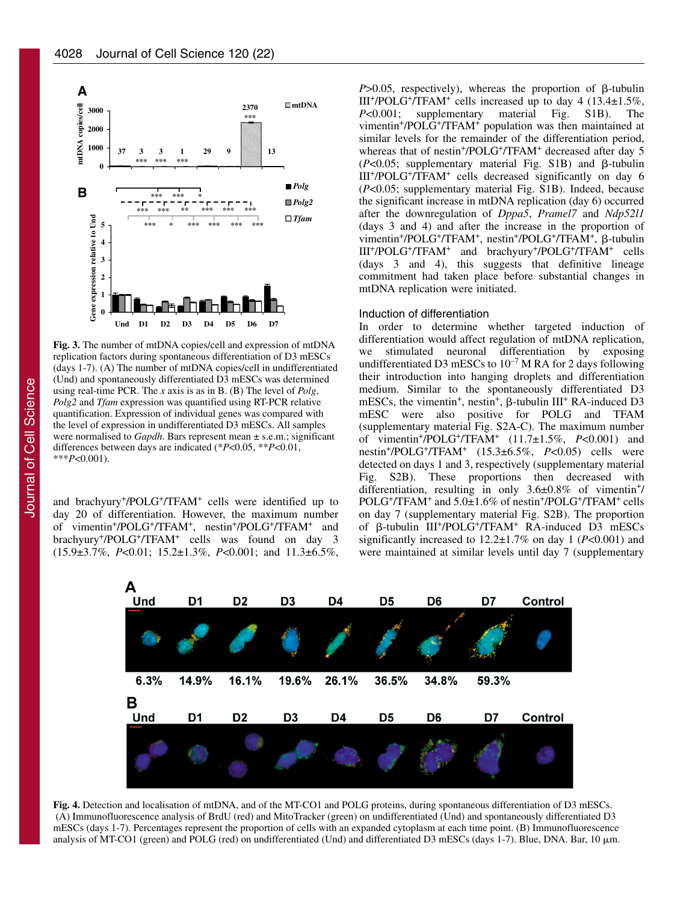

**Fig. 3.** The number of mtDNA copies/cell and expression of mtDNA replication factors during spontaneous differentiation of D3 mESCs (days 1-7). (A) The number of mtDNA copies/cell in undifferentiated (Und) and spontaneously differentiated D3 mESCs was determined using real-time PCR. The *x* axis is as in B. (B) The level of *Polg*, *Polg2* and *Tfam* expression was quantified using RT-PCR relative quantification. Expression of individual genes was compared with the level of expression in undifferentiated D3 mESCs. All samples were normalised to *Gapdh*. Bars represent mean ± s.e.m.; significant differences between days are indicated (\**P*<0.05, \*\**P*<0.01, \*\*\**P*<0.001).

and brachyury+/POLG+/TFAM+ cells were identified up to day 20 of differentiation. However, the maximum number of vimentin+/POLG+/TFAM+, nestin+/POLG+/TFAM+ and brachyury+/POLG+/TFAM+ cells was found on day 3 (15.9±3.7%, *P*<0.01; 15.2±1.3%, *P*<0.001; and 11.3±6.5%,  $P > 0.05$ , respectively), whereas the proportion of  $\beta$ -tubulin III<sup>+</sup>/POLG<sup>+</sup>/TFAM<sup>+</sup> cells increased up to day 4 (13.4 $\pm$ 1.5%, *P*<0.001; supplementary material Fig. S1B). The vimentin+/POLG+/TFAM+ population was then maintained at similar levels for the remainder of the differentiation period, whereas that of nestin<sup>+</sup>/POLG<sup>+</sup>/TFAM<sup>+</sup> decreased after day 5 ( $P<0.05$ ; supplementary material Fig. S1B) and  $\beta$ -tubulin III+/POLG+/TFAM+ cells decreased significantly on day 6 (*P*<0.05; supplementary material Fig. S1B). Indeed, because the significant increase in mtDNA replication (day 6) occurred after the downregulation of *Dppa5*, *Pramel7* and *Ndp52l1* (days 3 and 4) and after the increase in the proportion of vimentin+/POLG+/TFAM+, nestin+/POLG+/TFAM+,  $\beta$ -tubulin III+/POLG+/TFAM+ and brachyury+/POLG+/TFAM+ cells (days 3 and 4), this suggests that definitive lineage commitment had taken place before substantial changes in mtDNA replication were initiated.

## Induction of differentiation

In order to determine whether targeted induction of differentiation would affect regulation of mtDNA replication, we stimulated neuronal differentiation by exposing undifferentiated D3 mESCs to  $10^{-7}$  M RA for 2 days following their introduction into hanging droplets and differentiation medium. Similar to the spontaneously differentiated D3 mESCs, the vimentin<sup>+</sup>, nestin<sup>+</sup>,  $\beta$ -tubulin III<sup>+</sup> RA-induced D3 mESC were also positive for POLG and TFAM (supplementary material Fig. S2A-C). The maximum number of vimentin<sup>+</sup>/POLG<sup>+</sup>/TFAM<sup>+</sup> (11.7±1.5%, *P<*0.001) and nestin<sup>+</sup>/POLG<sup>+</sup>/TFAM<sup>+</sup> (15.3±6.5%, *P*<0.05) cells were detected on days 1 and 3, respectively (supplementary material Fig. S2B). These proportions then decreased with differentiation, resulting in only  $3.6\pm0.8\%$  of vimentin<sup>+</sup>/ POLG+/TFAM+ and 5.0±1.6% of nestin+/POLG+/TFAM+ cells on day 7 (supplementary material Fig. S2B). The proportion of  $\beta$ -tubulin III<sup>+</sup>/POLG<sup>+</sup>/TFAM<sup>+</sup> RA-induced D3 mESCs significantly increased to 12.2±1.7% on day 1 (*P*<0.001) and were maintained at similar levels until day 7 (supplementary



**Fig. 4.** Detection and localisation of mtDNA, and of the MT-CO1 and POLG proteins, during spontaneous differentiation of D3 mESCs. (A) Immunofluorescence analysis of BrdU (red) and MitoTracker (green) on undifferentiated (Und) and spontaneously differentiated D3 mESCs (days 1-7). Percentages represent the proportion of cells with an expanded cytoplasm at each time point. (B) Immunofluorescence analysis of MT-CO1 (green) and POLG (red) on undifferentiated (Und) and differentiated D3 mESCs (days 1-7). Blue, DNA. Bar, 10  $\mu$ m.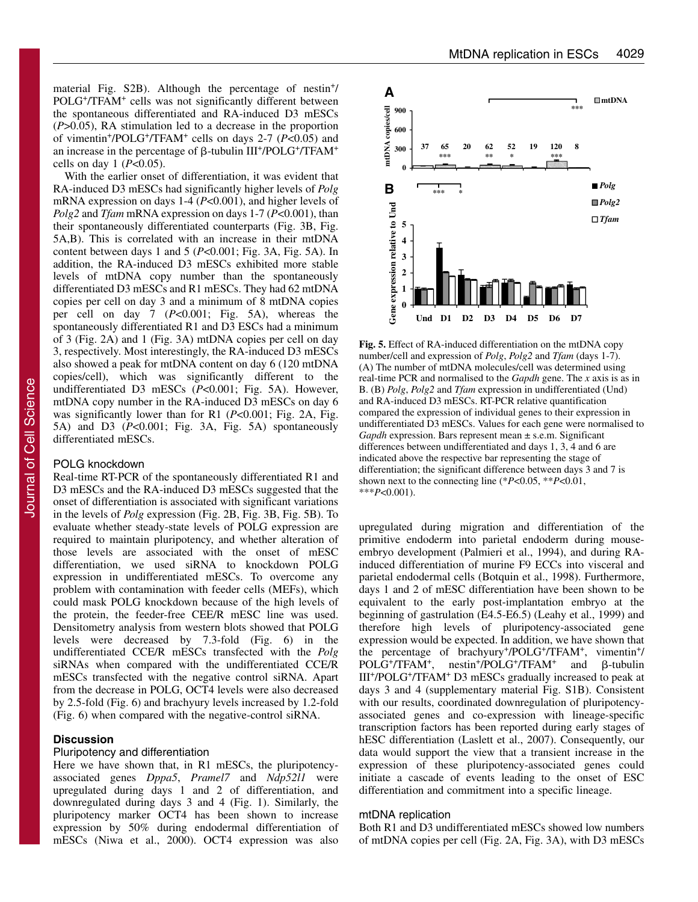material Fig. S2B). Although the percentage of nestin<sup>+</sup>/ POLG+/TFAM+ cells was not significantly different between the spontaneous differentiated and RA-induced D3 mESCs (*P*>0.05), RA stimulation led to a decrease in the proportion of vimentin+/POLG+/TFAM+ cells on days 2-7 (*P*<0.05) and an increase in the percentage of  $\beta$ -tubulin III<sup>+</sup>/POLG<sup>+</sup>/TFAM<sup>+</sup> cells on day 1 (*P*<0.05).

With the earlier onset of differentiation, it was evident that RA-induced D3 mESCs had significantly higher levels of *Polg* mRNA expression on days 1-4 (*P*<0.001), and higher levels of *Polg2* and *Tfam* mRNA expression on days 1-7 (*P*<0.001), than their spontaneously differentiated counterparts (Fig. 3B, Fig. 5A,B). This is correlated with an increase in their mtDNA content between days 1 and 5 (*P*<0.001; Fig. 3A, Fig. 5A). In addition, the RA-induced D3 mESCs exhibited more stable levels of mtDNA copy number than the spontaneously differentiated D3 mESCs and R1 mESCs. They had 62 mtDNA copies per cell on day 3 and a minimum of 8 mtDNA copies per cell on day 7 (*P*<0.001; Fig. 5A), whereas the spontaneously differentiated R1 and D3 ESCs had a minimum of 3 (Fig. 2A) and 1 (Fig. 3A) mtDNA copies per cell on day 3, respectively. Most interestingly, the RA-induced D3 mESCs also showed a peak for mtDNA content on day 6 (120 mtDNA copies/cell), which was significantly different to the undifferentiated D3 mESCs (*P*<0.001; Fig. 5A). However, mtDNA copy number in the RA-induced D3 mESCs on day 6 was significantly lower than for R1 (*P*<0.001; Fig. 2A, Fig. 5A) and D3 (*P*<0.001; Fig. 3A, Fig. 5A) spontaneously differentiated mESCs.

## POLG knockdown

Real-time RT-PCR of the spontaneously differentiated R1 and D3 mESCs and the RA-induced D3 mESCs suggested that the onset of differentiation is associated with significant variations in the levels of *Polg* expression (Fig. 2B, Fig. 3B, Fig. 5B). To evaluate whether steady-state levels of POLG expression are required to maintain pluripotency, and whether alteration of those levels are associated with the onset of mESC differentiation, we used siRNA to knockdown POLG expression in undifferentiated mESCs. To overcome any problem with contamination with feeder cells (MEFs), which could mask POLG knockdown because of the high levels of the protein, the feeder-free CEE/R mESC line was used. Densitometry analysis from western blots showed that POLG levels were decreased by 7.3-fold (Fig. 6) in the undifferentiated CCE/R mESCs transfected with the *Polg* siRNAs when compared with the undifferentiated CCE/R mESCs transfected with the negative control siRNA. Apart from the decrease in POLG, OCT4 levels were also decreased by 2.5-fold (Fig. 6) and brachyury levels increased by 1.2-fold (Fig. 6) when compared with the negative-control siRNA.

# **Discussion**

# Pluripotency and differentiation

Here we have shown that, in R1 mESCs, the pluripotencyassociated genes *Dppa5*, *Pramel7* and *Ndp52l1* were upregulated during days 1 and 2 of differentiation, and downregulated during days 3 and 4 (Fig. 1). Similarly, the pluripotency marker OCT4 has been shown to increase expression by 50% during endodermal differentiation of mESCs (Niwa et al., 2000). OCT4 expression was also



**Fig. 5.** Effect of RA-induced differentiation on the mtDNA copy number/cell and expression of *Polg*, *Polg2* and *Tfam* (days 1-7). (A) The number of mtDNA molecules/cell was determined using real-time PCR and normalised to the *Gapdh* gene. The *x* axis is as in B. (B) *Polg*, *Polg2* and *Tfam* expression in undifferentiated (Und) and RA-induced D3 mESCs. RT-PCR relative quantification compared the expression of individual genes to their expression in undifferentiated D3 mESCs. Values for each gene were normalised to *Gapdh* expression. Bars represent mean ± s.e.m. Significant differences between undifferentiated and days 1, 3, 4 and 6 are indicated above the respective bar representing the stage of differentiation; the significant difference between days 3 and 7 is shown next to the connecting line (\**P*<0.05, \*\**P*<0.01, \*\*\**P*<0.001).

upregulated during migration and differentiation of the primitive endoderm into parietal endoderm during mouseembryo development (Palmieri et al., 1994), and during RAinduced differentiation of murine F9 ECCs into visceral and parietal endodermal cells (Botquin et al., 1998). Furthermore, days 1 and 2 of mESC differentiation have been shown to be equivalent to the early post-implantation embryo at the beginning of gastrulation (E4.5-E6.5) (Leahy et al., 1999) and therefore high levels of pluripotency-associated gene expression would be expected. In addition, we have shown that the percentage of brachyury+/POLG+/TFAM+, vimentin+/  $POLG<sup>+</sup>/TFAM<sup>+</sup>$ , nestin<sup>+</sup>/POLG<sup>+</sup>/TFAM<sup>+</sup> and  $\beta$ -tubulin III+/POLG+/TFAM+ D3 mESCs gradually increased to peak at days 3 and 4 (supplementary material Fig. S1B). Consistent with our results, coordinated downregulation of pluripotencyassociated genes and co-expression with lineage-specific transcription factors has been reported during early stages of hESC differentiation (Laslett et al., 2007). Consequently, our data would support the view that a transient increase in the expression of these pluripotency-associated genes could initiate a cascade of events leading to the onset of ESC differentiation and commitment into a specific lineage.

### mtDNA replication

Both R1 and D3 undifferentiated mESCs showed low numbers of mtDNA copies per cell (Fig. 2A, Fig. 3A), with D3 mESCs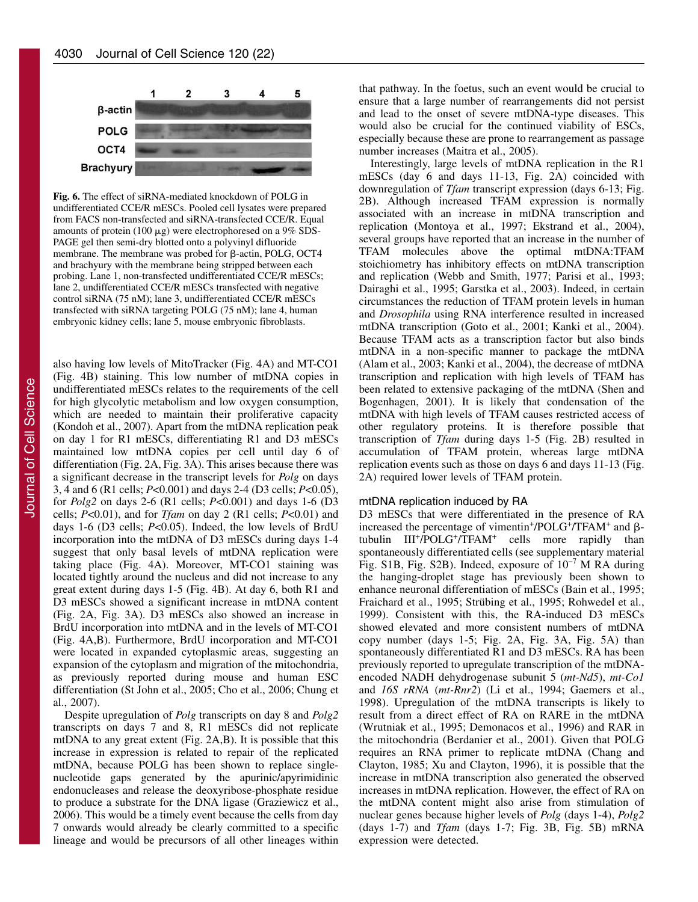

**Fig. 6.** The effect of siRNA-mediated knockdown of POLG in undifferentiated CCE/R mESCs. Pooled cell lysates were prepared from FACS non-transfected and siRNA-transfected CCE/R. Equal amounts of protein (100  $\mu$ g) were electrophoresed on a 9% SDS-PAGE gel then semi-dry blotted onto a polyvinyl difluoride membrane. The membrane was probed for  $\beta$ -actin, POLG, OCT4 and brachyury with the membrane being stripped between each probing. Lane 1, non-transfected undifferentiated CCE/R mESCs; lane 2, undifferentiated CCE/R mESCs transfected with negative control siRNA (75 nM); lane 3, undifferentiated CCE/R mESCs transfected with siRNA targeting POLG (75 nM); lane 4, human embryonic kidney cells; lane 5, mouse embryonic fibroblasts.

also having low levels of MitoTracker (Fig. 4A) and MT-CO1 (Fig. 4B) staining. This low number of mtDNA copies in undifferentiated mESCs relates to the requirements of the cell for high glycolytic metabolism and low oxygen consumption, which are needed to maintain their proliferative capacity (Kondoh et al., 2007). Apart from the mtDNA replication peak on day 1 for R1 mESCs, differentiating R1 and D3 mESCs maintained low mtDNA copies per cell until day 6 of differentiation (Fig. 2A, Fig. 3A). This arises because there was a significant decrease in the transcript levels for *Polg* on days 3, 4 and 6 (R1 cells; *P*<0.001) and days 2-4 (D3 cells; *P*<0.05), for *Polg2* on days 2-6 (R1 cells; *P*<0.001) and days 1-6 (D3 cells; *P*<0.01), and for *Tfam* on day 2 (R1 cells; *P*<0.01) and days 1-6 (D3 cells; *P*<0.05). Indeed, the low levels of BrdU incorporation into the mtDNA of D3 mESCs during days 1-4 suggest that only basal levels of mtDNA replication were taking place (Fig. 4A). Moreover, MT-CO1 staining was located tightly around the nucleus and did not increase to any great extent during days 1-5 (Fig. 4B). At day 6, both R1 and D3 mESCs showed a significant increase in mtDNA content (Fig. 2A, Fig. 3A). D3 mESCs also showed an increase in BrdU incorporation into mtDNA and in the levels of MT-CO1 (Fig. 4A,B). Furthermore, BrdU incorporation and MT-CO1 were located in expanded cytoplasmic areas, suggesting an expansion of the cytoplasm and migration of the mitochondria, as previously reported during mouse and human ESC differentiation (St John et al., 2005; Cho et al., 2006; Chung et al., 2007).

Despite upregulation of *Polg* transcripts on day 8 and *Polg2* transcripts on days 7 and 8, R1 mESCs did not replicate mtDNA to any great extent (Fig. 2A,B). It is possible that this increase in expression is related to repair of the replicated mtDNA, because POLG has been shown to replace singlenucleotide gaps generated by the apurinic/apyrimidinic endonucleases and release the deoxyribose-phosphate residue to produce a substrate for the DNA ligase (Graziewicz et al., 2006). This would be a timely event because the cells from day 7 onwards would already be clearly committed to a specific lineage and would be precursors of all other lineages within that pathway. In the foetus, such an event would be crucial to ensure that a large number of rearrangements did not persist and lead to the onset of severe mtDNA-type diseases. This would also be crucial for the continued viability of ESCs, especially because these are prone to rearrangement as passage number increases (Maitra et al., 2005).

Interestingly, large levels of mtDNA replication in the R1 mESCs (day 6 and days 11-13, Fig. 2A) coincided with downregulation of *Tfam* transcript expression (days 6-13; Fig. 2B). Although increased TFAM expression is normally associated with an increase in mtDNA transcription and replication (Montoya et al., 1997; Ekstrand et al., 2004), several groups have reported that an increase in the number of TFAM molecules above the optimal mtDNA:TFAM stoichiometry has inhibitory effects on mtDNA transcription and replication (Webb and Smith, 1977; Parisi et al., 1993; Dairaghi et al., 1995; Garstka et al., 2003). Indeed, in certain circumstances the reduction of TFAM protein levels in human and *Drosophila* using RNA interference resulted in increased mtDNA transcription (Goto et al., 2001; Kanki et al., 2004). Because TFAM acts as a transcription factor but also binds mtDNA in a non-specific manner to package the mtDNA (Alam et al., 2003; Kanki et al., 2004), the decrease of mtDNA transcription and replication with high levels of TFAM has been related to extensive packaging of the mtDNA (Shen and Bogenhagen, 2001). It is likely that condensation of the mtDNA with high levels of TFAM causes restricted access of other regulatory proteins. It is therefore possible that transcription of *Tfam* during days 1-5 (Fig. 2B) resulted in accumulation of TFAM protein, whereas large mtDNA replication events such as those on days 6 and days 11-13 (Fig. 2A) required lower levels of TFAM protein.

# mtDNA replication induced by RA

D3 mESCs that were differentiated in the presence of RA increased the percentage of vimentin<sup>+</sup>/POLG<sup>+</sup>/TFAM<sup>+</sup> and  $\beta$ tubulin III<sup>+</sup>/POLG<sup>+</sup>/TFAM<sup>+</sup> cells more rapidly than spontaneously differentiated cells (see supplementary material Fig. S1B, Fig. S2B). Indeed, exposure of  $10^{-7}$  M RA during the hanging-droplet stage has previously been shown to enhance neuronal differentiation of mESCs (Bain et al., 1995; Fraichard et al., 1995; Strübing et al., 1995; Rohwedel et al., 1999). Consistent with this, the RA-induced D3 mESCs showed elevated and more consistent numbers of mtDNA copy number (days 1-5; Fig. 2A, Fig. 3A, Fig. 5A) than spontaneously differentiated R1 and D3 mESCs. RA has been previously reported to upregulate transcription of the mtDNAencoded NADH dehydrogenase subunit 5 (*mt-Nd5*), *mt-Co1* and *16S rRNA* (*mt-Rnr2*) (Li et al., 1994; Gaemers et al., 1998). Upregulation of the mtDNA transcripts is likely to result from a direct effect of RA on RARE in the mtDNA (Wrutniak et al., 1995; Demonacos et al., 1996) and RAR in the mitochondria (Berdanier et al., 2001). Given that POLG requires an RNA primer to replicate mtDNA (Chang and Clayton, 1985; Xu and Clayton, 1996), it is possible that the increase in mtDNA transcription also generated the observed increases in mtDNA replication. However, the effect of RA on the mtDNA content might also arise from stimulation of nuclear genes because higher levels of *Polg* (days 1-4), *Polg2* (days 1-7) and *Tfam* (days 1-7; Fig. 3B, Fig. 5B) mRNA expression were detected.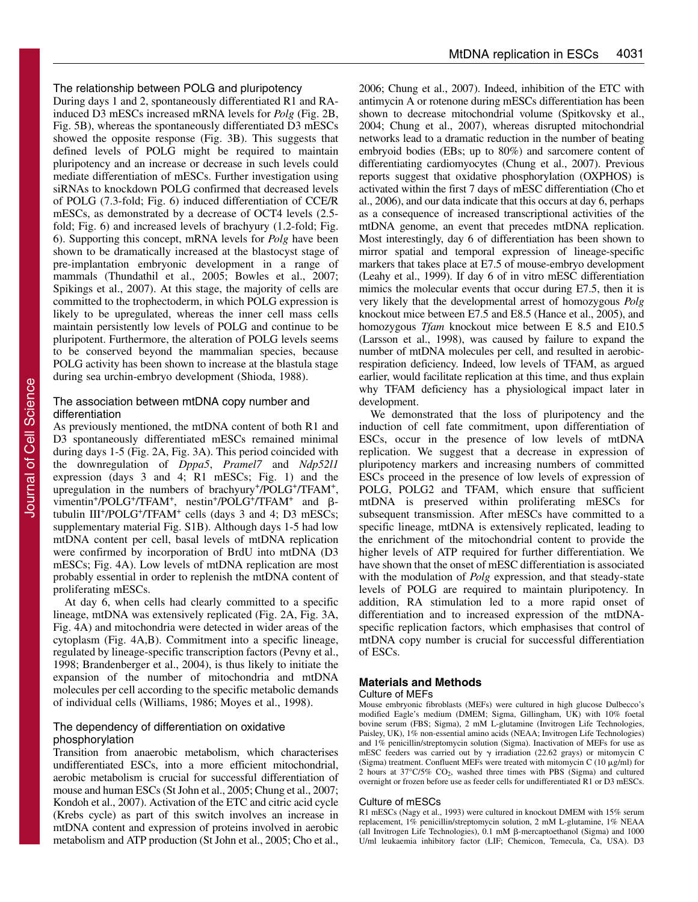# The relationship between POLG and pluripotency

During days 1 and 2, spontaneously differentiated R1 and RAinduced D3 mESCs increased mRNA levels for *Polg* (Fig. 2B, Fig. 5B), whereas the spontaneously differentiated D3 mESCs showed the opposite response (Fig. 3B). This suggests that defined levels of POLG might be required to maintain pluripotency and an increase or decrease in such levels could mediate differentiation of mESCs. Further investigation using siRNAs to knockdown POLG confirmed that decreased levels of POLG (7.3-fold; Fig. 6) induced differentiation of CCE/R mESCs, as demonstrated by a decrease of OCT4 levels (2.5 fold; Fig. 6) and increased levels of brachyury (1.2-fold; Fig. 6). Supporting this concept, mRNA levels for *Polg* have been shown to be dramatically increased at the blastocyst stage of pre-implantation embryonic development in a range of mammals (Thundathil et al., 2005; Bowles et al., 2007; Spikings et al., 2007). At this stage, the majority of cells are committed to the trophectoderm, in which POLG expression is likely to be upregulated, whereas the inner cell mass cells maintain persistently low levels of POLG and continue to be pluripotent. Furthermore, the alteration of POLG levels seems to be conserved beyond the mammalian species, because POLG activity has been shown to increase at the blastula stage during sea urchin-embryo development (Shioda, 1988).

# The association between mtDNA copy number and differentiation

As previously mentioned, the mtDNA content of both R1 and D3 spontaneously differentiated mESCs remained minimal during days 1-5 (Fig. 2A, Fig. 3A). This period coincided with the downregulation of *Dppa5*, *Pramel7* and *Ndp52l1* expression (days 3 and 4; R1 mESCs; Fig. 1) and the upregulation in the numbers of brachyury+/POLG+/TFAM+, vimentin+/POLG+/TFAM+, nestin+/POLG+/TFAM+ and  $\beta$ tubulin III<sup>+</sup>/POLG<sup>+</sup>/TFAM<sup>+</sup> cells (days 3 and 4; D3 mESCs; supplementary material Fig. S1B). Although days 1-5 had low mtDNA content per cell, basal levels of mtDNA replication were confirmed by incorporation of BrdU into mtDNA (D3 mESCs; Fig. 4A). Low levels of mtDNA replication are most probably essential in order to replenish the mtDNA content of proliferating mESCs.

At day 6, when cells had clearly committed to a specific lineage, mtDNA was extensively replicated (Fig. 2A, Fig. 3A, Fig. 4A) and mitochondria were detected in wider areas of the cytoplasm (Fig. 4A,B). Commitment into a specific lineage, regulated by lineage-specific transcription factors (Pevny et al., 1998; Brandenberger et al., 2004), is thus likely to initiate the expansion of the number of mitochondria and mtDNA molecules per cell according to the specific metabolic demands of individual cells (Williams, 1986; Moyes et al., 1998).

# The dependency of differentiation on oxidative phosphorylation

Transition from anaerobic metabolism, which characterises undifferentiated ESCs, into a more efficient mitochondrial, aerobic metabolism is crucial for successful differentiation of mouse and human ESCs (St John et al., 2005; Chung et al., 2007; Kondoh et al., 2007). Activation of the ETC and citric acid cycle (Krebs cycle) as part of this switch involves an increase in mtDNA content and expression of proteins involved in aerobic metabolism and ATP production (St John et al., 2005; Cho et al.,

2006; Chung et al., 2007). Indeed, inhibition of the ETC with antimycin A or rotenone during mESCs differentiation has been shown to decrease mitochondrial volume (Spitkovsky et al., 2004; Chung et al., 2007), whereas disrupted mitochondrial networks lead to a dramatic reduction in the number of beating embryoid bodies (EBs; up to 80%) and sarcomere content of differentiating cardiomyocytes (Chung et al., 2007). Previous reports suggest that oxidative phosphorylation (OXPHOS) is activated within the first 7 days of mESC differentiation (Cho et al., 2006), and our data indicate that this occurs at day 6, perhaps as a consequence of increased transcriptional activities of the mtDNA genome, an event that precedes mtDNA replication. Most interestingly, day 6 of differentiation has been shown to mirror spatial and temporal expression of lineage-specific markers that takes place at E7.5 of mouse-embryo development (Leahy et al., 1999). If day 6 of in vitro mESC differentiation mimics the molecular events that occur during E7.5, then it is very likely that the developmental arrest of homozygous *Polg* knockout mice between E7.5 and E8.5 (Hance et al., 2005), and homozygous *Tfam* knockout mice between E 8.5 and E10.5 (Larsson et al., 1998), was caused by failure to expand the number of mtDNA molecules per cell, and resulted in aerobicrespiration deficiency. Indeed, low levels of TFAM, as argued earlier, would facilitate replication at this time, and thus explain why TFAM deficiency has a physiological impact later in development.

We demonstrated that the loss of pluripotency and the induction of cell fate commitment, upon differentiation of ESCs, occur in the presence of low levels of mtDNA replication. We suggest that a decrease in expression of pluripotency markers and increasing numbers of committed ESCs proceed in the presence of low levels of expression of POLG, POLG2 and TFAM, which ensure that sufficient mtDNA is preserved within proliferating mESCs for subsequent transmission. After mESCs have committed to a specific lineage, mtDNA is extensively replicated, leading to the enrichment of the mitochondrial content to provide the higher levels of ATP required for further differentiation. We have shown that the onset of mESC differentiation is associated with the modulation of *Polg* expression, and that steady-state levels of POLG are required to maintain pluripotency. In addition, RA stimulation led to a more rapid onset of differentiation and to increased expression of the mtDNAspecific replication factors, which emphasises that control of mtDNA copy number is crucial for successful differentiation of ESCs.

# **Materials and Methods**

#### Culture of MEFs

Mouse embryonic fibroblasts (MEFs) were cultured in high glucose Dulbecco's modified Eagle's medium (DMEM; Sigma, Gillingham, UK) with 10% foetal bovine serum (FBS; Sigma), 2 mM L-glutamine (Invitrogen Life Technologies, Paisley, UK), 1% non-essential amino acids (NEAA; Invitrogen Life Technologies) and 1% penicillin/streptomycin solution (Sigma). Inactivation of MEFs for use as mESC feeders was carried out by  $\gamma$  irradiation (22.62 grays) or mitomycin C (Sigma) treatment. Confluent MEFs were treated with mitomycin C (10  $\mu$ g/ml) for 2 hours at  $37^{\circ}C/5\%$  CO<sub>2</sub>, washed three times with PBS (Sigma) and cultured overnight or frozen before use as feeder cells for undifferentiated R1 or D3 mESCs.

#### Culture of mESCs

R1 mESCs (Nagy et al., 1993) were cultured in knockout DMEM with 15% serum replacement, 1% penicillin/streptomycin solution, 2 mM L-glutamine, 1% NEAA (all Invitrogen Life Technologies),  $0.1 \text{ mM } \beta$ -mercaptoethanol (Sigma) and 1000 U/ml leukaemia inhibitory factor (LIF; Chemicon, Temecula, Ca, USA). D3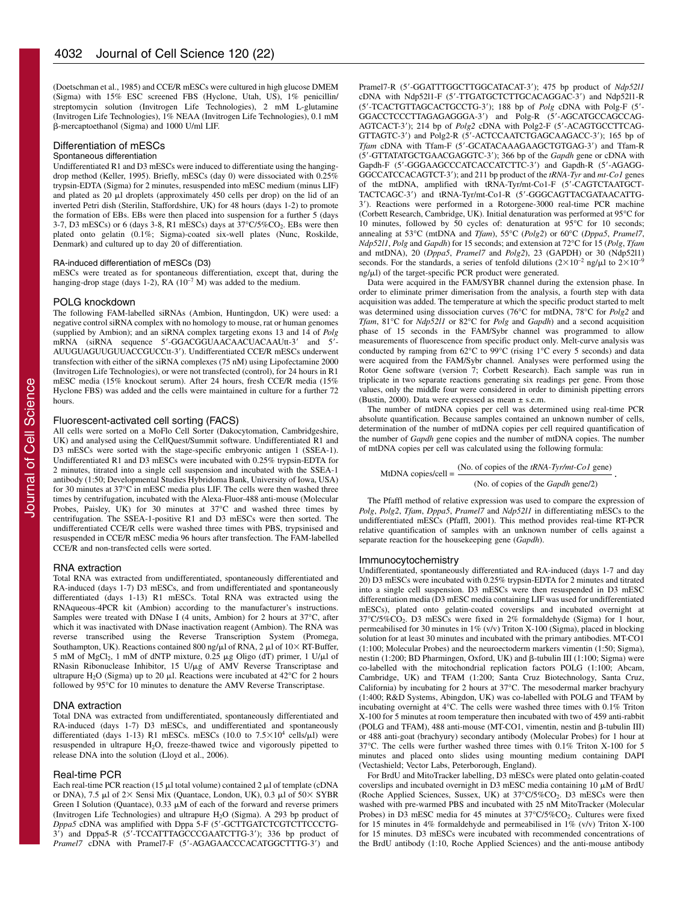(Doetschman et al., 1985) and CCE/R mESCs were cultured in high glucose DMEM (Sigma) with 15% ESC screened FBS (Hyclone, Utah, US), 1% penicillin/ streptomycin solution (Invitrogen Life Technologies), 2 mM L-glutamine (Invitrogen Life Technologies), 1% NEAA (Invitrogen Life Technologies), 0.1 mM -mercaptoethanol (Sigma) and 1000 U/ml LIF.

#### Differentiation of mESCs

## Spontaneous differentiation

Undifferentiated R1 and D3 mESCs were induced to differentiate using the hangingdrop method (Keller, 1995). Briefly, mESCs (day 0) were dissociated with 0.25% trypsin-EDTA (Sigma) for 2 minutes, resuspended into mESC medium (minus LIF) and plated as  $20 \mu l$  droplets (approximately 450 cells per drop) on the lid of an inverted Petri dish (Sterilin, Staffordshire, UK) for 48 hours (days 1-2) to promote the formation of EBs. EBs were then placed into suspension for a further 5 (days 3-7, D3 mESCs) or 6 (days 3-8, R1 mESCs) days at  $37^{\circ}$ C/5%CO<sub>2</sub>. EBs were then plated onto gelatin (0.1%; Sigma)-coated six-well plates (Nunc, Roskilde, Denmark) and cultured up to day 20 of differentiation.

#### RA-induced differentiation of mESCs (D3)

mESCs were treated as for spontaneous differentiation, except that, during the hanging-drop stage (days 1-2),  $RA(10^{-7} M)$  was added to the medium.

#### POLG knockdown

The following FAM-labelled siRNAs (Ambion, Huntingdon, UK) were used: a negative control siRNA complex with no homology to mouse, rat or human genomes (supplied by Ambion); and an siRNA complex targeting exons 13 and 14 of *Polg* mRNA (siRNA sequence 5'-GGACGGUAACAACUACAAUtt-3' and 5'-AUUGUAGUUGUUACCGUCCtt-3'). Undifferentiated CCE/R mESCs underwent transfection with either of the siRNA complexes (75 nM) using Lipofectamine 2000 (Invitrogen Life Technologies), or were not transfected (control), for 24 hours in R1 mESC media (15% knockout serum). After 24 hours, fresh CCE/R media (15% Hyclone FBS) was added and the cells were maintained in culture for a further 72 hours.

#### Fluorescent-activated cell sorting (FACS)

All cells were sorted on a MoFlo Cell Sorter (Dakocytomation, Cambridgeshire, UK) and analysed using the CellQuest/Summit software. Undifferentiated R1 and D3 mESCs were sorted with the stage-specific embryonic antigen 1 (SSEA-1). Undifferentiated R1 and D3 mESCs were incubated with 0.25% trypsin-EDTA for 2 minutes, titrated into a single cell suspension and incubated with the SSEA-1 antibody (1:50; Developmental Studies Hybridoma Bank, University of Iowa, USA) for 30 minutes at 37°C in mESC media plus LIF. The cells were then washed three times by centrifugation, incubated with the Alexa-Fluor-488 anti-mouse (Molecular Probes, Paisley, UK) for 30 minutes at 37°C and washed three times by centrifugation. The SSEA-1-positive R1 and D3 mESCs were then sorted. The undifferentiated CCE/R cells were washed three times with PBS, trypsinised and resuspended in CCE/R mESC media 96 hours after transfection. The FAM-labelled CCE/R and non-transfected cells were sorted.

#### RNA extraction

Total RNA was extracted from undifferentiated, spontaneously differentiated and RA-induced (days 1-7) D3 mESCs, and from undifferentiated and spontaneously differentiated (days 1-13) R1 mESCs. Total RNA was extracted using the RNAqueous-4PCR kit (Ambion) according to the manufacturer's instructions. Samples were treated with DNase I (4 units, Ambion) for 2 hours at 37°C, after which it was inactivated with DNase inactivation reagent (Ambion). The RNA was reverse transcribed using the Reverse Transcription System (Promega, Southampton, UK). Reactions contained 800 ng/ $\mu$ l of RNA, 2  $\mu$ l of 10 × RT-Buffer, 5 mM of MgCl<sub>2</sub>, 1 mM of dNTP mixture, 0.25  $\mu$ g Oligo (dT) primer, 1 U/ $\mu$ l of RNasin Ribonuclease Inhibitor,  $15 \text{ U}/\mu\text{g}$  of AMV Reverse Transcriptase and ultrapure H<sub>2</sub>O (Sigma) up to 20  $\mu$ l. Reactions were incubated at 42°C for 2 hours followed by 95°C for 10 minutes to denature the AMV Reverse Transcriptase.

#### DNA extraction

Total DNA was extracted from undifferentiated, spontaneously differentiated and RA-induced (days 1-7) D3 mESCs, and undifferentiated and spontaneously differentiated (days 1-13) R1 mESCs. mESCs (10.0 to  $7.5 \times 10^4$  cells/ $\mu$ l) were resuspended in ultrapure  $H_2O$ , freeze-thawed twice and vigorously pipetted to release DNA into the solution (Lloyd et al., 2006).

#### Real-time PCR

Each real-time PCR reaction (15  $\mu$ l total volume) contained 2  $\mu$ l of template (cDNA or DNA), 7.5  $\mu$ l of 2× Sensi Mix (Quantace, London, UK), 0.3  $\mu$ l of 50× SYBR Green I Solution (Quantace),  $0.33 \mu M$  of each of the forward and reverse primers (Invitrogen Life Technologies) and ultrapure H2O (Sigma). A 293 bp product of Dppa5 cDNA was amplified with Dppa 5-F (5'-GCTTGATCTCGTCTTCCCTG-3') and Dppa5-R (5'-TCCATTTAGCCCGAATCTTG-3'); 336 bp product of Pramel7 cDNA with Pramel7-F (5'-AGAGAACCCACATGGCTTTG-3') and

Pramel7-R (5'-GGATTTGGCTTGGCATACAT-3'); 475 bp product of *Ndp52l1* cDNA with Ndp5211-F (5'-TTGATGCTCTTGCACAGGAC-3') and Ndp5211-R (5'-TCACTGTTAGCACTGCCTG-3'); 188 bp of *Polg* cDNA with Polg-F (5'-GGACCTCCCTTAGAGAGGGA-3') and Polg-R (5'-AGCATGCCAGCCAG-AGTCACT-3'); 214 bp of *Polg2* cDNA with Polg2-F (5'-ACAGTGCCTTCAG-GTTAGTC-3') and Polg2-R (5'-ACTCCAATCTGAGCAAGACC-3'); 165 bp of Tfam cDNA with Tfam-F (5'-GCATACAAAGAAGCTGTGAG-3') and Tfam-R (5'-GTTATATGCTGAACGAGGTC-3'); 366 bp of the *Gapdh* gene or cDNA with Gapdh-F (5'-GGGAAGCCCATCACCATCTTC-3') and Gapdh-R (5'-AGAGG-GGCCATCCACAGTCT-3'); and 211 bp product of the *tRNA-Tyr* and *mt-Co1* genes of the mtDNA, amplified with tRNA-Tyr/mt-Co1-F (5'-CAGTCTAATGCT-TACTCAGC-3') and tRNA-Tyr/mt-Co1-R (5'-GGGCAGTTACGATAACATTG-3'). Reactions were performed in a Rotorgene-3000 real-time PCR machine (Corbett Research, Cambridge, UK). Initial denaturation was performed at 95°C for 10 minutes, followed by 50 cycles of: denaturation at 95°C for 10 seconds; annealing at 53°C (mtDNA and *Tfam*), 55°C (*Polg2*) or 60°C (*Dppa5*, *Pramel7*, *Ndp52l1*, *Polg* and *Gapdh*) for 15 seconds; and extension at 72°C for 15 (*Polg*, *Tfam* and mtDNA), 20 (*Dppa5*, *Pramel7* and *Polg2*), 23 (GAPDH) or 30 (Ndp52l1) seconds. For the standards, a series of tenfold dilutions  $(2\times10^{-2} \text{ ng/µl}$  to  $2\times10^{-9}$  $ng/µ$ ) of the target-specific PCR product were generated.

Data were acquired in the FAM/SYBR channel during the extension phase. In order to eliminate primer dimerisation from the analysis, a fourth step with data acquisition was added. The temperature at which the specific product started to melt was determined using dissociation curves (76°C for mtDNA, 78°C for *Polg2* and *Tfam*, 81°C for *Ndp52l1* or 82°C for *Polg* and *Gapdh*) and a second acquisition phase of 15 seconds in the FAM/Sybr channel was programmed to allow measurements of fluorescence from specific product only. Melt-curve analysis was conducted by ramping from 62°C to 99°C (rising 1°C every 5 seconds) and data were acquired from the FAM/Sybr channel. Analyses were performed using the Rotor Gene software (version 7; Corbett Research). Each sample was run in triplicate in two separate reactions generating six readings per gene. From those values, only the middle four were considered in order to diminish pipetting errors (Bustin, 2000). Data were expressed as mean ± s.e.m.

The number of mtDNA copies per cell was determined using real-time PCR absolute quantification. Because samples contained an unknown number of cells, determination of the number of mtDNA copies per cell required quantification of the number of *Gapdh* gene copies and the number of mtDNA copies. The number of mtDNA copies per cell was calculated using the following formula:

MtDNA copies/cell =  $\frac{\text{(No. of copies of the tRNA-Tyr/mLCol gene)}}{P}$ 

(No. of copies of the *Gapdh* gene/2)

The Pfaffl method of relative expression was used to compare the expression of *Polg*, *Polg2*, *Tfam*, *Dppa5*, *Pramel7* and *Ndp52l1* in differentiating mESCs to the undifferentiated mESCs (Pfaffl, 2001). This method provides real-time RT-PCR relative quantification of samples with an unknown number of cells against a separate reaction for the housekeeping gene (*Gapdh*).

#### Immunocytochemistry

Undifferentiated, spontaneously differentiated and RA-induced (days 1-7 and day 20) D3 mESCs were incubated with 0.25% trypsin-EDTA for 2 minutes and titrated into a single cell suspension. D3 mESCs were then resuspended in D3 mESC differentiation media (D3 mESC media containing LIF was used for undifferentiated mESCs), plated onto gelatin-coated coverslips and incubated overnight at  $37^{\circ}C/5\%CO_2$ . D3 mESCs were fixed in 2% formaldehyde (Sigma) for 1 hour, permeabilised for 30 minutes in 1% (v/v) Triton X-100 (Sigma), placed in blocking solution for at least 30 minutes and incubated with the primary antibodies. MT-CO1 (1:100; Molecular Probes) and the neuroectoderm markers vimentin (1:50; Sigma), nestin (1:200; BD Pharmingen, Oxford, UK) and  $\beta$ -tubulin III (1:100; Sigma) were co-labelled with the mitochondrial replication factors POLG (1:100; Abcam, Cambridge, UK) and TFAM (1:200; Santa Cruz Biotechnology, Santa Cruz, California) by incubating for 2 hours at 37°C. The mesodermal marker brachyury (1:400; R&D Systems, Abingdon, UK) was co-labelled with POLG and TFAM by incubating overnight at 4°C. The cells were washed three times with 0.1% Triton X-100 for 5 minutes at room temperature then incubated with two of 459 anti-rabbit (POLG and TFAM), 488 anti-mouse (MT-CO1, vimentin, nestin and  $\beta$ -tubulin III) or 488 anti-goat (brachyury) secondary antibody (Molecular Probes) for 1 hour at 37°C. The cells were further washed three times with 0.1% Triton X-100 for 5 minutes and placed onto slides using mounting medium containing DAPI (Vectashield; Vector Labs, Peterborough, England).

For BrdU and MitoTracker labelling, D3 mESCs were plated onto gelatin-coated coverslips and incubated overnight in D3 mESC media containing  $10 \mu$ M of BrdU (Roche Applied Sciences, Sussex, UK) at 37°C/5%CO2. D3 mESCs were then washed with pre-warmed PBS and incubated with 25 nM MitoTracker (Molecular Probes) in D3 mESC media for 45 minutes at 37°C/5%CO<sub>2</sub>. Cultures were fixed for 15 minutes in 4% formaldehyde and permeabilised in 1%  $(v/v)$  Triton X-100 for 15 minutes. D3 mESCs were incubated with recommended concentrations of the BrdU antibody (1:10, Roche Applied Sciences) and the anti-mouse antibody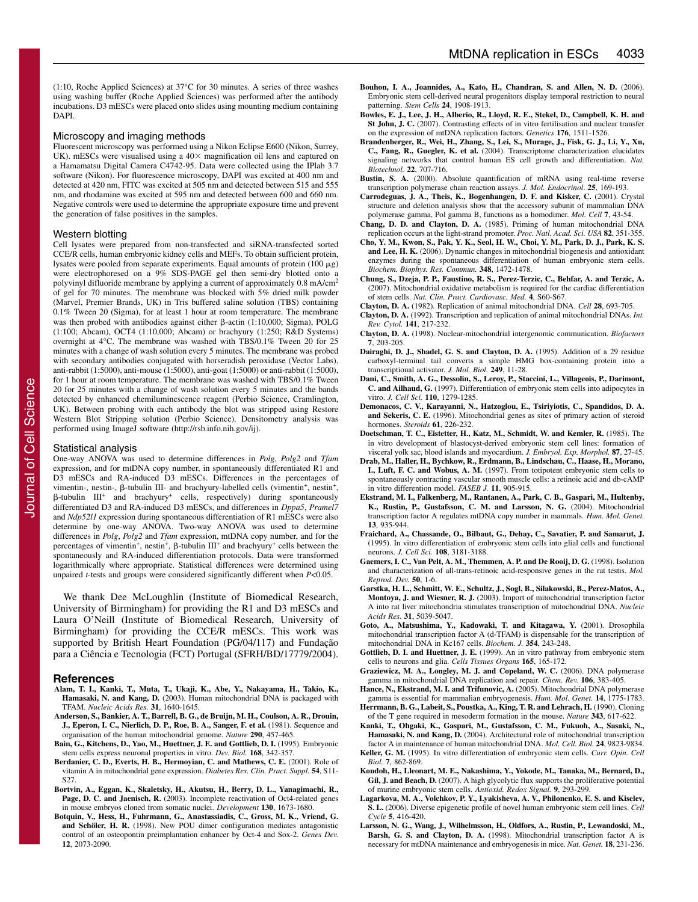lournal

(1:10, Roche Applied Sciences) at 37°C for 30 minutes. A series of three washes using washing buffer (Roche Applied Sciences) was performed after the antibody incubations. D3 mESCs were placed onto slides using mounting medium containing DAPI.

#### Microscopy and imaging methods

Fluorescent microscopy was performed using a Nikon Eclipse E600 (Nikon, Surrey, UK). mESCs were visualised using a  $40\times$  magnification oil lens and captured on a Hamamatsu Digital Camera C4742-95. Data were collected using the IPlab 3.7 software (Nikon). For fluorescence microscopy, DAPI was excited at 400 nm and detected at 420 nm, FITC was excited at 505 nm and detected between 515 and 555 nm, and rhodamine was excited at 595 nm and detected between 600 and 660 nm. Negative controls were used to determine the appropriate exposure time and prevent the generation of false positives in the samples.

#### Western blotting

Cell lysates were prepared from non-transfected and siRNA-transfected sorted CCE/R cells, human embryonic kidney cells and MEFs. To obtain sufficient protein, lysates were pooled from separate experiments. Equal amounts of protein  $(100 \mu g)$ were electrophoresed on a 9% SDS-PAGE gel then semi-dry blotted onto a polyvinyl difluoride membrane by applying a current of approximately 0.8 mA/cm<sup>2</sup> of gel for 70 minutes. The membrane was blocked with 5% dried milk powder (Marvel, Premier Brands, UK) in Tris buffered saline solution (TBS) containing 0.1% Tween 20 (Sigma), for at least 1 hour at room temperature. The membrane was then probed with antibodies against either  $\beta$ -actin (1:10,000; Sigma), POLG (1:100; Abcam), OCT4 (1:10,000; Abcam) or brachyury (1:250; R&D Systems) overnight at 4°C. The membrane was washed with TBS/0.1% Tween 20 for 25 minutes with a change of wash solution every 5 minutes. The membrane was probed with secondary antibodies conjugated with horseradish peroxidase (Vector Labs), anti-rabbit (1:5000), anti-mouse (1:5000), anti-goat (1:5000) or anti-rabbit (1:5000), for 1 hour at room temperature. The membrane was washed with TBS/0.1% Tween 20 for 25 minutes with a change of wash solution every 5 minutes and the bands detected by enhanced chemiluminescence reagent (Perbio Science, Cramlington, UK). Between probing with each antibody the blot was stripped using Restore Western Blot Stripping solution (Perbio Science). Densitometry analysis was performed using ImageJ software (http://rsb.info.nih.gov/ij).

#### Statistical analysis

One-way ANOVA was used to determine differences in *Polg*, *Polg2* and *Tfam* expression, and for mtDNA copy number, in spontaneously differentiated R1 and D3 mESCs and RA-induced D3 mESCs. Differences in the percentages of vimentin-, nestin-,  $\beta$ -tubulin III- and brachyury-labelled cells (vimentin<sup>+</sup>, nestin<sup>+</sup>,  $\beta$ -tubulin  $III^+$  and brachyury<sup>+</sup> cells, respectively) during spontaneously differentiated D3 and RA-induced D3 mESCs, and differences in *Dppa5*, *Pramel7* and *Ndp52l1* expression during spontaneous differentiation of R1 mESCs were also determine by one-way ANOVA. Two-way ANOVA was used to determine differences in *Polg*, *Polg2* and *Tfam* expression, mtDNA copy number, and for the percentages of vimentin<sup>+</sup>, nestin<sup>+</sup>,  $\beta$ -tubulin III<sup>+</sup> and brachyury<sup>+</sup> cells between the spontaneously and RA-induced differentiation protocols. Data were transformed logarithmically where appropriate. Statistical differences were determined using unpaired *t*-tests and groups were considered significantly different when *P*<0.05.

We thank Dee McLoughlin (Institute of Biomedical Research, University of Birmingham) for providing the R1 and D3 mESCs and Laura O'Neill (Institute of Biomedical Research, University of Birmingham) for providing the CCE/R mESCs. This work was supported by British Heart Foundation (PG/04/117) and Fundação para a Ciência e Tecnologia (FCT) Portugal (SFRH/BD/17779/2004).

#### **References**

- **Alam, T. I., Kanki, T., Muta, T., Ukaji, K., Abe, Y., Nakayama, H., Takio, K., Hamasaki, N. and Kang, D.** (2003). Human mitochondrial DNA is packaged with TFAM. *Nucleic Acids Res.* **31**, 1640-1645.
- **Anderson, S., Bankier, A. T., Barrell, B. G., de Bruijn, M. H., Coulson, A. R., Drouin, J., Eperon, I. C., Nierlich, D. P., Roe, B. A., Sanger, F. et al.** (1981). Sequence and organisation of the human mitochondrial genome. *Nature* **290**, 457-465.
- **Bain, G., Kitchens, D., Yao, M., Huettner, J. E. and Gottlieb, D. I.** (1995). Embryonic stem cells express neuronal properties in vitro. *Dev. Biol.* **168**, 342-357.
- **Berdanier, C. D., Everts, H. B., Hermoyian, C. and Mathews, C. E.** (2001). Role of vitamin A in mitochondrial gene expression. *Diabetes Res. Clin. Pract. Suppl.* **54**, S11- S27.
- **Bortvin, A., Eggan, K., Skaletsky, H., Akutsu, H., Berry, D. L., Yanagimachi, R.,** Page, D. C. and Jaenisch, R. (2003). Incomplete reactivation of Oct4-related genes in mouse embryos cloned from somatic nuclei. *Development* **130**, 1673-1680.
- **Botquin, V., Hess, H., Fuhrmann, G., Anastassiadis, C., Gross, M. K., Vriend, G. and Schöler, H. R.** (1998). New POU dimer configuration mediates antagonistic control of an osteopontin preimplantation enhancer by Oct-4 and Sox-2. *Genes Dev.* **12**, 2073-2090.
- **Bouhon, I. A., Joannides, A., Kato, H., Chandran, S. and Allen, N. D.** (2006). Embryonic stem cell-derived neural progenitors display temporal restriction to neural patterning. *Stem Cells* **24**, 1908-1913.
- **Bowles, E. J., Lee, J. H., Alberio, R., Lloyd, R. E., Stekel, D., Campbell, K. H. and St John, J. C.** (2007). Contrasting effects of in vitro fertilisation and nuclear transfer on the expression of mtDNA replication factors. *Genetics* **176**, 1511-1526.
- **Brandenberger, R., Wei, H., Zhang, S., Lei, S., Murage, J., Fisk, G. J., Li, Y., Xu, C., Fang, R., Guegler, K. et al.** (2004). Transcriptome characterization elucidates signaling networks that control human ES cell growth and differentiation. *Nat. Biotechnol.* **22**, 707-716.
- **Bustin, S. A.** (2000). Absolute quantification of mRNA using real-time reverse transcription polymerase chain reaction assays. *J. Mol. Endocrinol*. **25**, 169-193.
- **Carrodeguas, J. A., Theis, K., Bogenhangen, D. F. and Kisker, C.** (2001). Crystal structure and deletion analysis show that the accessory subunit of mammalian DNA polymerase gamma, Pol gamma B, functions as a homodimer. *Mol. Cell* **7**, 43-54.
- **Chang, D. D. and Clayton, D. A.** (1985). Priming of human mitochondrial DNA replication occurs at the light-strand promoter. *Proc. Natl. Acad. Sci. USA* **82**, 351-355.
- **Cho, Y. M., Kwon, S., Pak, Y. K., Seol, H. W., Choi, Y. M., Park, D. J., Park, K. S. and Lee, H. K.** (2006). Dynamic changes in mitochondrial biogenesis and antioxidant enzymes during the spontaneous differentiation of human embryonic stem cells. *Biochem. Biophys. Res. Commun.* **348**, 1472-1478.
- **Chung, S., Dzeja, P. P., Faustino, R. S., Perez-Terzic, C., Behfar, A. and Terzic, A.** (2007). Mitochondrial oxidative metabolism is required for the cardiac differentiation of stem cells. *Nat. Clin. Pract. Cardiovasc. Med.* **4**, S60-S67.
- **Clayton, D. A.** (1982). Replication of animal mitochondrial DNA. *Cell* **28**, 693-705.
- **Clayton, D. A.** (1992). Transcription and replication of animal mitochondrial DNAs. *Int. Rev. Cytol.* **141**, 217-232.
- **Clayton, D. A.** (1998). Nuclear-mitochondrial intergenomic communication. *Biofactors* **7**, 203-205.
- **Dairaghi, D. J., Shadel, G. S. and Clayton, D. A.** (1995). Addition of a 29 residue carboxyl-terminal tail converts a simple HMG box-containing protein into a transcriptional activator. *J. Mol. Biol.* **249**, 11-28.
- **Dani, C., Smith, A. G., Dessolin, S., Leroy, P., Staccini, L., Villageois, P., Darimont, C. and Ailhaud, G.** (1997). Differentiation of embryonic stem cells into adipocytes in vitro. *J. Cell Sci.* **110**, 1279-1285.
- **Demonacos, C. V., Karayanni, N., Hatzoglou, E., Tsiriyiotis, C., Spandidos, D. A. and Sekeris, C. E.** (1996). Mitochondrial genes as sites of primary action of steroid hormones. *Steroids* **61**, 226-232.
- **Doetschman, T. C., Eistetter, H., Katz, M., Schmidt, W. and Kemler, R.** (1985). The in vitro development of blastocyst-derived embryonic stem cell lines: formation of visceral yolk sac, blood islands and myocardium. *J. Embryol. Exp. Morphol.* **87**, 27-45.
- **Drab, M., Haller, H., Bychkow, R., Erdmann, B., Lindschau, C., Haase, H., Morano, I., Luft, F. C. and Wobus, A. M.** (1997). From totipotent embryonic stem cells to spontaneously contracting vascular smooth muscle cells: a retinoic acid and db-cAMP in vitro differention model. *FASEB J.* **11**, 905-915.
- **Ekstrand, M. I., Falkenberg, M., Rantanen, A., Park, C. B., Gaspari, M., Hultenby, K., Rustin, P., Gustafsson, C. M. and Larsson, N. G.** (2004). Mitochondrial transcription factor A regulates mtDNA copy number in mammals. *Hum. Mol. Genet.* **13**, 935-944.
- **Fraichard, A., Chassande, O., Bilbaut, G., Dehay, C., Savatier, P. and Samarut, J.** (1995). In vitro differentiation of embryonic stem cells into glial cells and functional neurons. *J. Cell Sci.* **108**, 3181-3188.
- **Gaemers, I. C., Van Pelt, A. M., Themmen, A. P. and De Rooij, D. G.** (1998). Isolation and characterization of all-trans-retinoic acid-responsive genes in the rat testis. *Mol. Reprod. Dev.* **50**, 1-6.
- **Garstka, H. L., Schmitt, W. E., Schultz, J., Sogl, B., Silakowski, B., Perez-Matos, A., Montoya, J. and Wiesner, R. J.** (2003). Import of mitochondrial transcription factor A into rat liver mitochondria stimulates transcription of mitochondrial DNA. *Nucleic Acids Res.* **31**, 5039-5047.
- **Goto, A., Matsushima, Y., Kadowaki, T. and Kitagawa, Y.** (2001). Drosophila mitochondrial transcription factor A (d-TFAM) is dispensable for the transcription of mitochondrial DNA in Kc167 cells. *Biochem. J.* **354**, 243-248.
- **Gottlieb, D. I. and Huettner, J. E.** (1999). An in vitro pathway from embryonic stem cells to neurons and glia. *Cells Tissues Organs* **165**, 165-172.
- **Graziewicz, M. A., Longley, M. J. and Copeland, W. C.** (2006). DNA polymerase gamma in mitochondrial DNA replication and repair. *Chem. Rev.* **106**, 383-405.
- **Hance, N., Ekstrand, M. I. and Trifunovic, A.** (2005). Mitochondrial DNA polymerase gamma is essential for mammalian embryogenesis. *Hum. Mol. Genet.* **14**, 1775-1783.
- **Herrmann, B. G., Labeit, S., Poustka, A., King, T. R. and Lehrach, H.** (1990). Cloning of the T gene required in mesoderm formation in the mouse. *Nature* **343**, 617-622.
- **Kanki, T., Ohgaki, K., Gaspari, M., Gustafsson, C. M., Fukuoh, A., Sasaki, N., Hamasaki, N. and Kang, D.** (2004). Architectural role of mitochondrial transcription
- factor A in maintenance of human mitochondrial DNA. *Mol. Cell. Biol.* **24**, 9823-9834. **Keller, G. M.** (1995). In vitro differentiation of embryonic stem cells. *Curr. Opin. Cell Biol.* **7**, 862-869.
- **Kondoh, H., Lleonart, M. E., Nakashima, Y., Yokode, M., Tanaka, M., Bernard, D., Gil, J. and Beach, D.** (2007). A high glycolytic flux supports the proliferative potential of murine embryonic stem cells. *Antioxid. Redox Signal.* **9**, 293-299.
- **Lagarkova, M. A., Volchkov, P. Y., Lyakisheva, A. V., Philonenko, E. S. and Kiselev, S. L.** (2006). Diverse epigenetic profile of novel human embryonic stem cell lines. *Cell Cycle* **5**, 416-420.
- **Larsson, N. G., Wang, J., Wilhelmsson, H., Oldfors, A., Rustin, P., Lewandoski, M., Barsh, G. S. and Clayton, D. A.** (1998). Mitochondrial transcription factor A is necessary for mtDNA maintenance and embryogenesis in mice. *Nat. Genet.* **18**, 231-236.